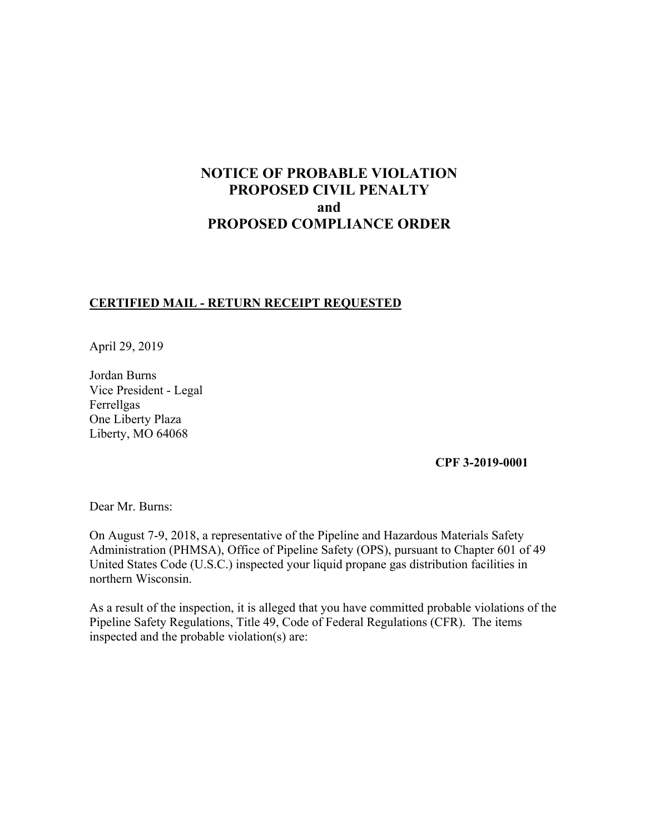# **NOTICE OF PROBABLE VIOLATION PROPOSED CIVIL PENALTY and PROPOSED COMPLIANCE ORDER**

# **CERTIFIED MAIL - RETURN RECEIPT REQUESTED**

April 29, 2019

Jordan Burns Vice President - Legal Ferrellgas One Liberty Plaza Liberty, MO 64068

# **CPF 3-2019-0001**

Dear Mr. Burns:

On August 7-9, 2018, a representative of the Pipeline and Hazardous Materials Safety Administration (PHMSA), Office of Pipeline Safety (OPS), pursuant to Chapter 601 of 49 United States Code (U.S.C.) inspected your liquid propane gas distribution facilities in northern Wisconsin.

As a result of the inspection, it is alleged that you have committed probable violations of the Pipeline Safety Regulations, Title 49, Code of Federal Regulations (CFR). The items inspected and the probable violation(s) are: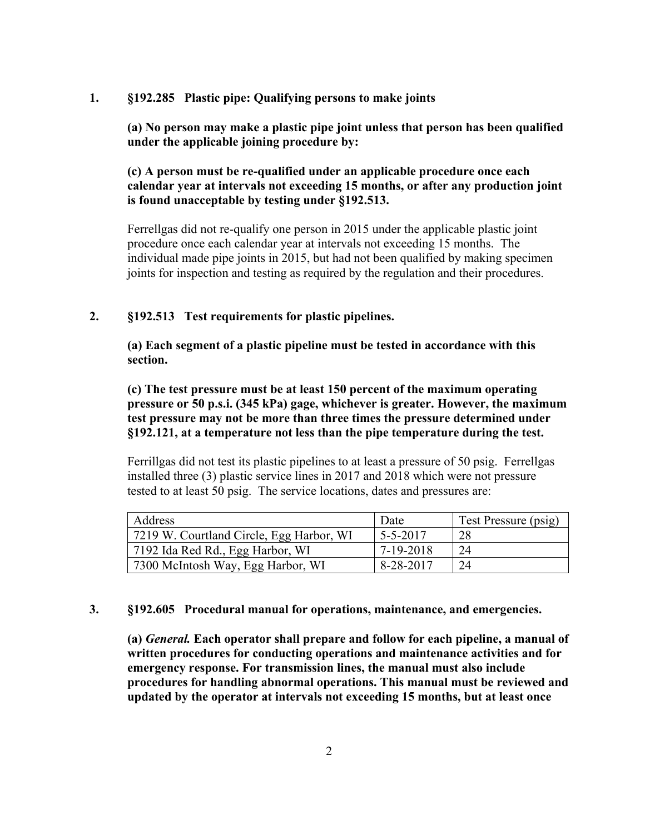#### **1. §192.285 Plastic pipe: Qualifying persons to make joints**

**(a) No person may make a plastic pipe joint unless that person has been qualified under the applicable joining procedure by:** 

**(c) A person must be re-qualified under an applicable procedure once each calendar year at intervals not exceeding 15 months, or after any production joint is found unacceptable by testing under §192.513.** 

Ferrellgas did not re-qualify one person in 2015 under the applicable plastic joint procedure once each calendar year at intervals not exceeding 15 months. The individual made pipe joints in 2015, but had not been qualified by making specimen joints for inspection and testing as required by the regulation and their procedures.

# **2. §192.513 Test requirements for plastic pipelines.**

**(a) Each segment of a plastic pipeline must be tested in accordance with this section.** 

 **§192.121, at a temperature not less than the pipe temperature during the test. (c) The test pressure must be at least 150 percent of the maximum operating pressure or 50 p.s.i. (345 kPa) gage, whichever is greater. However, the maximum test pressure may not be more than three times the pressure determined under** 

Ferrillgas did not test its plastic pipelines to at least a pressure of 50 psig. Ferrellgas installed three (3) plastic service lines in 2017 and 2018 which were not pressure tested to at least 50 psig. The service locations, dates and pressures are:

| Address                                  | Date           | Test Pressure (psig) |
|------------------------------------------|----------------|----------------------|
| 7219 W. Courtland Circle, Egg Harbor, WI | $5 - 5 - 2017$ | 28                   |
| 7192 Ida Red Rd., Egg Harbor, WI         | 7-19-2018      | 24                   |
| 7300 McIntosh Way, Egg Harbor, WI        | 8-28-2017      | 24                   |

#### **3. §192.605 Procedural manual for operations, maintenance, and emergencies.**

**(a)** *General.* **Each operator shall prepare and follow for each pipeline, a manual of written procedures for conducting operations and maintenance activities and for emergency response. For transmission lines, the manual must also include procedures for handling abnormal operations. This manual must be reviewed and updated by the operator at intervals not exceeding 15 months, but at least once**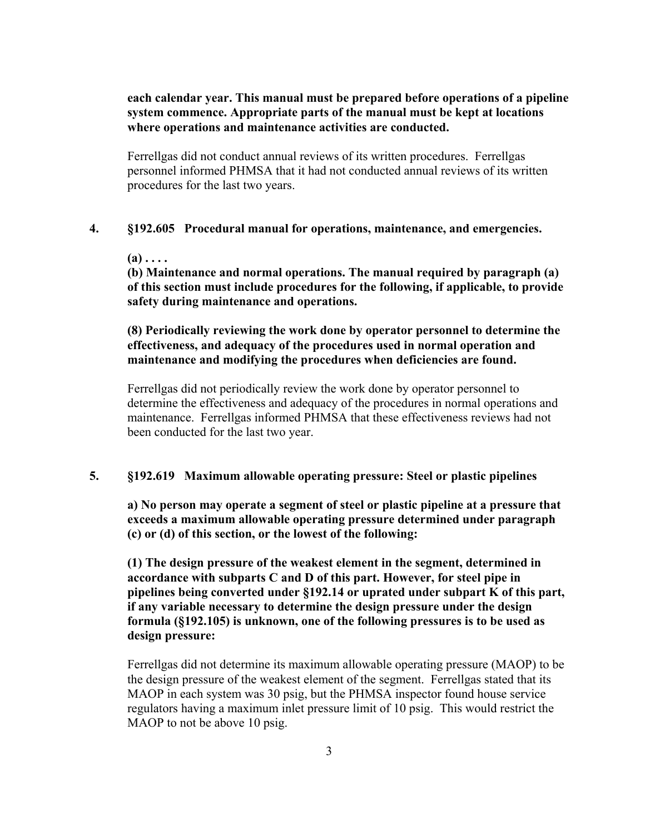# **each calendar year. This manual must be prepared before operations of a pipeline system commence. Appropriate parts of the manual must be kept at locations where operations and maintenance activities are conducted.**

Ferrellgas did not conduct annual reviews of its written procedures. Ferrellgas personnel informed PHMSA that it had not conducted annual reviews of its written procedures for the last two years.

#### **4. §192.605 Procedural manual for operations, maintenance, and emergencies.**

**(a) . . . .** 

**(b) Maintenance and normal operations. The manual required by paragraph (a) of this section must include procedures for the following, if applicable, to provide safety during maintenance and operations.** 

**(8) Periodically reviewing the work done by operator personnel to determine the effectiveness, and adequacy of the procedures used in normal operation and maintenance and modifying the procedures when deficiencies are found.**

Ferrellgas did not periodically review the work done by operator personnel to determine the effectiveness and adequacy of the procedures in normal operations and maintenance. Ferrellgas informed PHMSA that these effectiveness reviews had not been conducted for the last two year.

# **5. §192.619 Maximum allowable operating pressure: Steel or plastic pipelines**

**a) No person may operate a segment of steel or plastic pipeline at a pressure that exceeds a maximum allowable operating pressure determined under paragraph (c) or (d) of this section, or the lowest of the following:**

**(1) The design pressure of the weakest element in the segment, determined in accordance with subparts C and D of this part. However, for steel pipe in pipelines being converted under §192.14 or uprated under subpart K of this part, if any variable necessary to determine the design pressure under the design formula (§192.105) is unknown, one of the following pressures is to be used as design pressure:** 

Ferrellgas did not determine its maximum allowable operating pressure (MAOP) to be the design pressure of the weakest element of the segment. Ferrellgas stated that its MAOP in each system was 30 psig, but the PHMSA inspector found house service regulators having a maximum inlet pressure limit of 10 psig. This would restrict the MAOP to not be above 10 psig.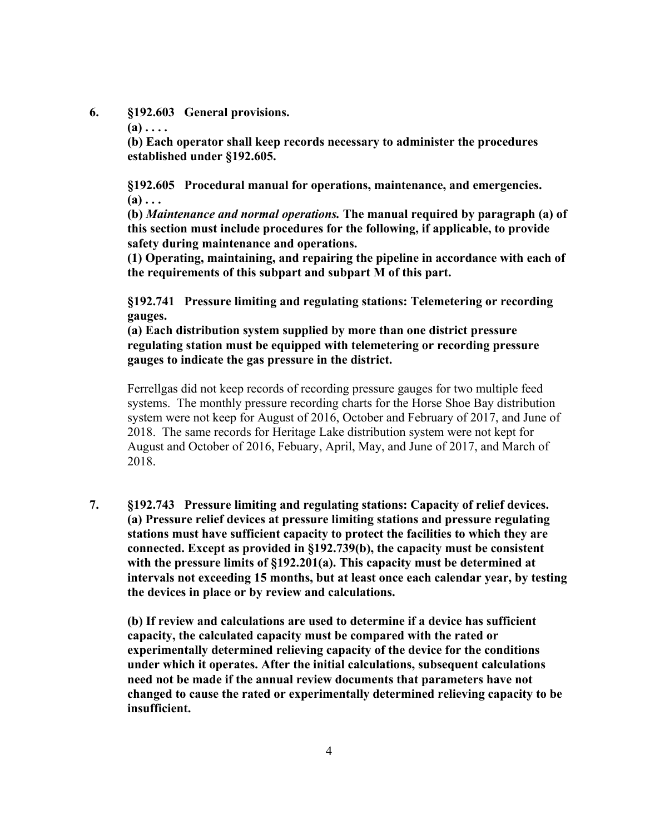**6. §192.603 General provisions.** 

 $(a)$ ....

**(b) Each operator shall keep records necessary to administer the procedures established under §192.605.** 

**§192.605 Procedural manual for operations, maintenance, and emergencies. (a) . . .** 

**(b)** *Maintenance and normal operations.* **The manual required by paragraph (a) of this section must include procedures for the following, if applicable, to provide safety during maintenance and operations.** 

**(1) Operating, maintaining, and repairing the pipeline in accordance with each of the requirements of this subpart and subpart M of this part.** 

**§192.741 Pressure limiting and regulating stations: Telemetering or recording gauges.** 

**(a) Each distribution system supplied by more than one district pressure regulating station must be equipped with telemetering or recording pressure gauges to indicate the gas pressure in the district.** 

Ferrellgas did not keep records of recording pressure gauges for two multiple feed systems. The monthly pressure recording charts for the Horse Shoe Bay distribution system were not keep for August of 2016, October and February of 2017, and June of 2018. The same records for Heritage Lake distribution system were not kept for August and October of 2016, Febuary, April, May, and June of 2017, and March of 2018.

**7. §192.743 Pressure limiting and regulating stations: Capacity of relief devices. (a) Pressure relief devices at pressure limiting stations and pressure regulating stations must have sufficient capacity to protect the facilities to which they are connected. Except as provided in §192.739(b), the capacity must be consistent with the pressure limits of §192.201(a). This capacity must be determined at intervals not exceeding 15 months, but at least once each calendar year, by testing the devices in place or by review and calculations.** 

**(b) If review and calculations are used to determine if a device has sufficient capacity, the calculated capacity must be compared with the rated or experimentally determined relieving capacity of the device for the conditions under which it operates. After the initial calculations, subsequent calculations need not be made if the annual review documents that parameters have not changed to cause the rated or experimentally determined relieving capacity to be insufficient.**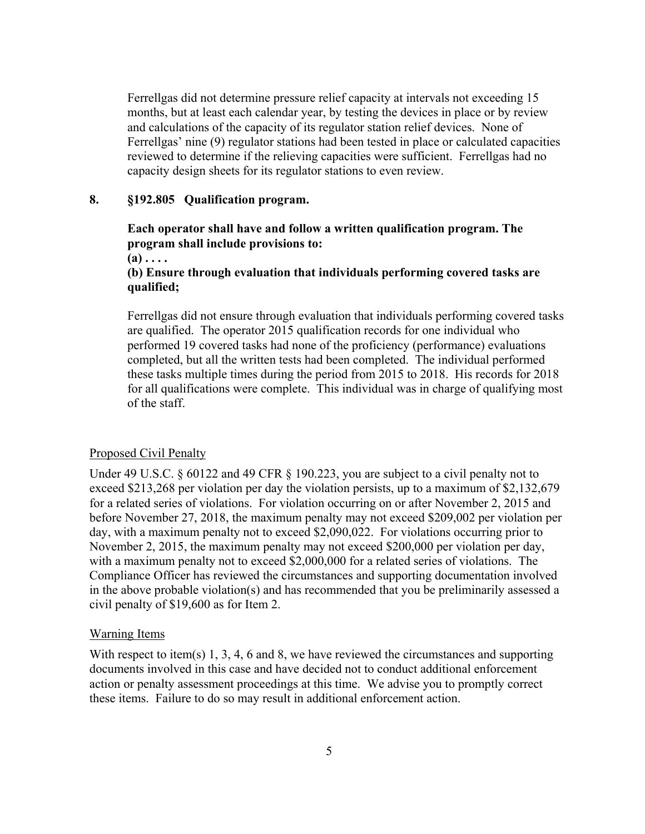Ferrellgas did not determine pressure relief capacity at intervals not exceeding 15 months, but at least each calendar year, by testing the devices in place or by review and calculations of the capacity of its regulator station relief devices. None of Ferrellgas' nine (9) regulator stations had been tested in place or calculated capacities reviewed to determine if the relieving capacities were sufficient. Ferrellgas had no capacity design sheets for its regulator stations to even review.

#### **8. §192.805 Qualification program.**

# **Each operator shall have and follow a written qualification program. The program shall include provisions to:**

**(a) . . . .** 

### **(b) Ensure through evaluation that individuals performing covered tasks are qualified;**

Ferrellgas did not ensure through evaluation that individuals performing covered tasks are qualified. The operator 2015 qualification records for one individual who performed 19 covered tasks had none of the proficiency (performance) evaluations completed, but all the written tests had been completed. The individual performed these tasks multiple times during the period from 2015 to 2018. His records for 2018 for all qualifications were complete. This individual was in charge of qualifying most of the staff.

#### Proposed Civil Penalty

Under 49 U.S.C. § 60122 and 49 CFR § 190.223, you are subject to a civil penalty not to exceed \$213,268 per violation per day the violation persists, up to a maximum of \$2,132,679 for a related series of violations. For violation occurring on or after November 2, 2015 and before November 27, 2018, the maximum penalty may not exceed \$209,002 per violation per day, with a maximum penalty not to exceed \$2,090,022. For violations occurring prior to November 2, 2015, the maximum penalty may not exceed \$200,000 per violation per day, with a maximum penalty not to exceed \$2,000,000 for a related series of violations. The Compliance Officer has reviewed the circumstances and supporting documentation involved in the above probable violation(s) and has recommended that you be preliminarily assessed a civil penalty of \$19,600 as for Item 2.

#### Warning Items

With respect to item(s) 1, 3, 4, 6 and 8, we have reviewed the circumstances and supporting documents involved in this case and have decided not to conduct additional enforcement action or penalty assessment proceedings at this time. We advise you to promptly correct these items. Failure to do so may result in additional enforcement action.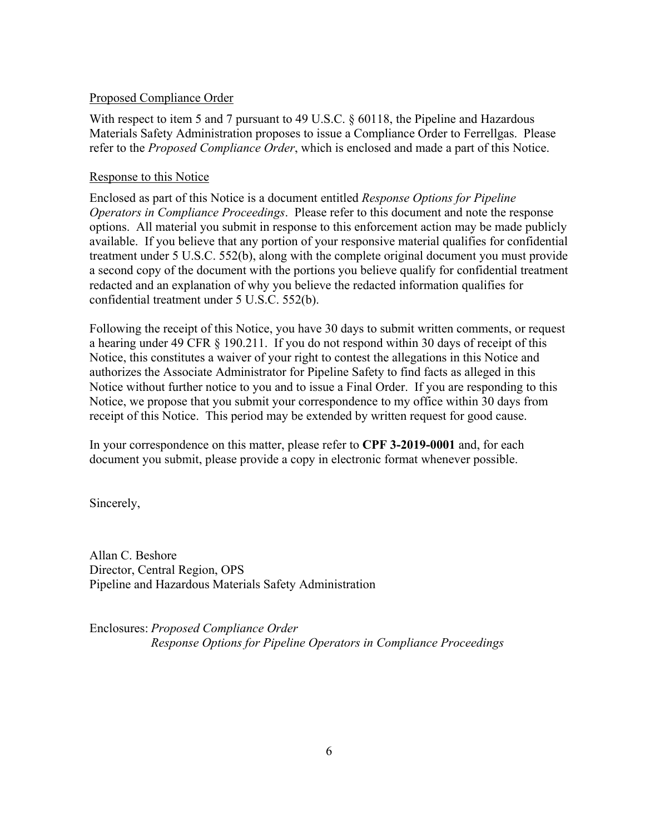# Proposed Compliance Order

With respect to item 5 and 7 pursuant to 49 U.S.C. § 60118, the Pipeline and Hazardous Materials Safety Administration proposes to issue a Compliance Order to Ferrellgas. Please refer to the *Proposed Compliance Order*, which is enclosed and made a part of this Notice.

# Response to this Notice

Enclosed as part of this Notice is a document entitled *Response Options for Pipeline Operators in Compliance Proceedings*. Please refer to this document and note the response options. All material you submit in response to this enforcement action may be made publicly available. If you believe that any portion of your responsive material qualifies for confidential treatment under 5 U.S.C. 552(b), along with the complete original document you must provide a second copy of the document with the portions you believe qualify for confidential treatment redacted and an explanation of why you believe the redacted information qualifies for confidential treatment under 5 U.S.C. 552(b).

Following the receipt of this Notice, you have 30 days to submit written comments, or request a hearing under 49 CFR § 190.211. If you do not respond within 30 days of receipt of this Notice, this constitutes a waiver of your right to contest the allegations in this Notice and authorizes the Associate Administrator for Pipeline Safety to find facts as alleged in this Notice without further notice to you and to issue a Final Order. If you are responding to this Notice, we propose that you submit your correspondence to my office within 30 days from receipt of this Notice. This period may be extended by written request for good cause.

In your correspondence on this matter, please refer to **CPF 3-2019-0001** and, for each document you submit, please provide a copy in electronic format whenever possible.

Sincerely,

Allan C. Beshore Director, Central Region, OPS Pipeline and Hazardous Materials Safety Administration

Enclosures: *Proposed Compliance Order Response Options for Pipeline Operators in Compliance Proceedings*